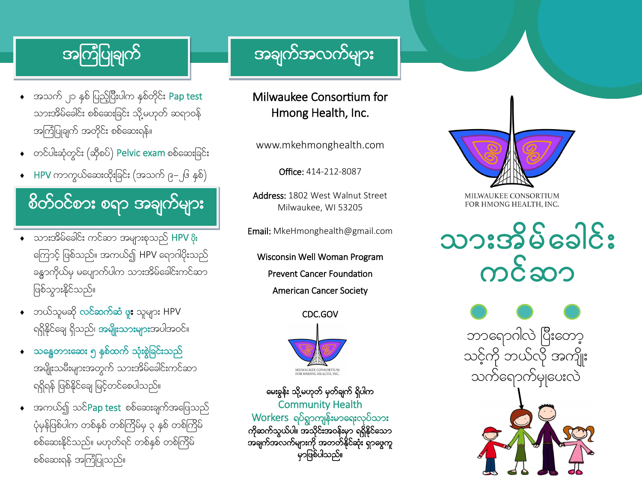- $\bullet$  အသက် ၂၁ နှစ် ပြည့်ပြီးပါက နှစ်တိုင်း Pap test သားအိမ်ခေါင်း စစ်ဆေးခြင်း သို့မဟုတ် ဆရာဝန် အကြံပြုချက် အတိုင်း စစ်ဆေးရန်။
- $\bullet$  တင်ပါးဆုံတွင်း (ဆိုစပ်) Pelvic exam စစ်ဆေးခြင်း
- $\leftarrow$  HPV ကာကွယ်ဆေးထိုးခြင်း (အသက် ၉–၂၆ နှစ်)

စိတ်ဝင်စား စရာ အချက်များ

- $\bullet$  သားအိမ်ခေါင်း ကင်ဆာ အများစုသည် HPV & ကြောင့် ဖြစ်သည်။ အကယ်၍ HPV ရောဂါပိုးသည် ခန္ဓာကိုယ်မှ မပျောက်ပါက သားအိမ်ခေါင်းကင်ဆာ ဖြစ်သွားနိုင်သည်။
- $\bullet$  ဘယ်သူမဆို လင်ဆက်ဆံ ဖူး သူများ HPV ရရှိနိုင်ချေ ရှိသည်၊ **အမျိုးသားများ**အပါအဝင်။
- $\bullet$  သန္ဓေတားဆေး ၅ နှစ်ထက် သုံးစွဲခြင်းသည် အမျိုးသမီးများအတွက် သားအိမ်ခေါင်းကင်ဆာ ုရှရှိန် ဖြစ်နိုင်ချေ မြင့်တင်စေပါသည်။
- $\bullet$  အကယ်၍ သင် $\mathsf{Pap}$  test စစ်ဆေးချက်အဖြေသည် ပုံမှန်ဖြစ်ပါက တစ်နှစ် တစ်ကြိမ်မှ ၃ နှစ် တစ်ကြိမ် စစ်ဆေးနိုင်သည်။ မဟုတ်ရင် တစ်နှစ် တစ်ကြိမ် စစ်ဆေးရန် အကြံပြုသည်။

#### အကြံပြုချက် — အချက်အလက်များ

Milwaukee Consortium for Hmong Health, Inc.

www.mkehmonghealth.com

Office: 414-212-8087

Address: 1802 West Walnut Street Milwaukee, WI 53205

Email: MkeHmonghealth@gmail.com

Wisconsin Well Woman Program Prevent Cancer Foundation American Cancer Society

CDC.GOV



မေးခွန်း သို့မဟုတ် မှတ်ချက် ရှိပါက Community Health  $W$ orkers ရပ်ရွာကျန်းမာရေးလုပ်သား ကိုဆက်သွယ်ပါ။ အသိုင်းအဝန်းမှာ ရရှိနိုင်သော အချက်အလက်များကို အတတ်နိုင်ဆုံး ရှာဖွေကူ မှာဖြစ်ပါသည်။



MILWAUKEE CONSORTIUM FOR HMONG HEALTH, INC.

# သားအိမ်ခေါင်း  $m\hat{\epsilon}$ ဆာ

ဘာရောဂါလဲ ပြီးတော့ သင့်ကို ဘယ်လို အကျိုး သက်ရောက်မျပေးလဲ